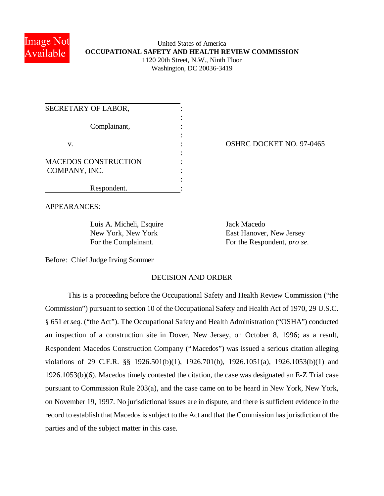

## United States of America **OCCUPATIONAL SAFETY AND HEALTH REVIEW COMMISSION** 1120 20th Street, N.W., Ninth Floor Washington, DC 20036-3419

| SECRETARY OF LABOR,         |  |
|-----------------------------|--|
|                             |  |
| Complainant,                |  |
|                             |  |
| V.                          |  |
|                             |  |
| <b>MACEDOS CONSTRUCTION</b> |  |
| COMPANY, INC.               |  |
|                             |  |
| Respondent.                 |  |

OSHRC DOCKET NO. 97-0465

APPEARANCES:

Luis A. Micheli, Esquire Jack Macedo

New York, New York East Hanover, New Jersey For the Complainant. For the Respondent, *pro se*.

Before: Chief Judge Irving Sommer

## DECISION AND ORDER

This is a proceeding before the Occupational Safety and Health Review Commission ("the Commission") pursuant to section 10 of the Occupational Safety and Health Act of 1970, 29 U.S.C. § 651 *et seq*. ("the Act"). The Occupational Safety and Health Administration ("OSHA") conducted an inspection of a construction site in Dover, New Jersey, on October 8, 1996; as a result, Respondent Macedos Construction Company ("Macedos") was issued a serious citation alleging violations of 29 C.F.R. §§ 1926.501(b)(1), 1926.701(b), 1926.1051(a), 1926.1053(b)(1) and 1926.1053(b)(6). Macedos timely contested the citation, the case was designated an E-Z Trial case pursuant to Commission Rule 203(a), and the case came on to be heard in New York, New York, on November 19, 1997. No jurisdictional issues are in dispute, and there is sufficient evidence in the record to establish that Macedos is subject to the Act and that the Commission has jurisdiction of the parties and of the subject matter in this case.